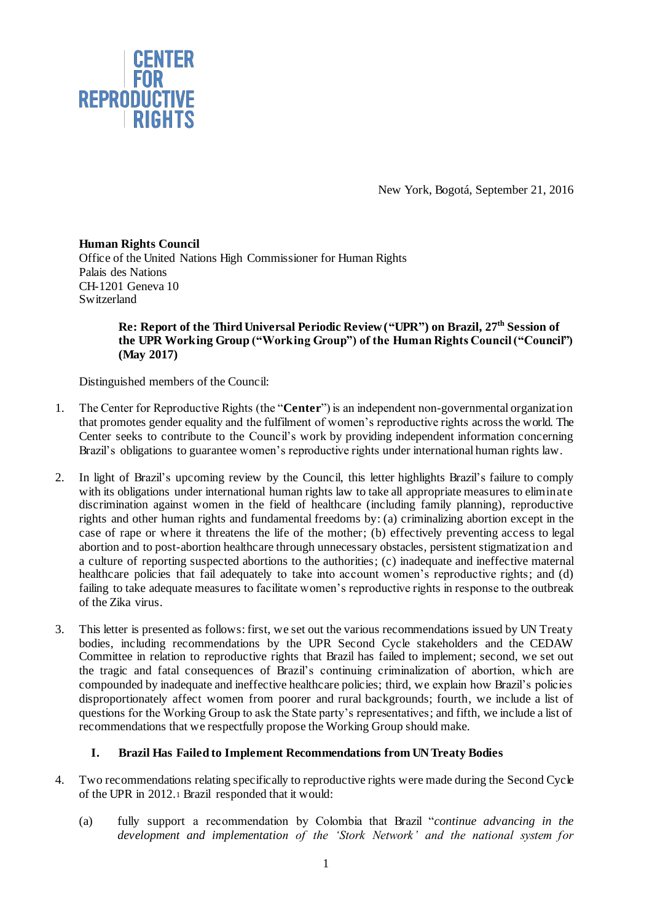

New York, Bogotá, September 21, 2016

# **Human Rights Council**

Office of the United Nations High Commissioner for Human Rights Palais des Nations CH-1201 Geneva 10 Switzerland

### **Re: Report of the Third Universal Periodic Review ("UPR") on Brazil, 27th Session of the UPR Working Group ("Working Group") of the Human Rights Council ("Council") (May 2017)**

Distinguished members of the Council:

- 1. The Center for Reproductive Rights (the "**Center**") is an independent non-governmental organization that promotes gender equality and the fulfilment of women's reproductive rights across the world. The Center seeks to contribute to the Council's work by providing independent information concerning Brazil's obligations to guarantee women's reproductive rights under international human rights law.
- 2. In light of Brazil's upcoming review by the Council, this letter highlights Brazil's failure to comply with its obligations under international human rights law to take all appropriate measures to eliminate discrimination against women in the field of healthcare (including family planning), reproductive rights and other human rights and fundamental freedoms by: (a) criminalizing abortion except in the case of rape or where it threatens the life of the mother; (b) effectively preventing access to legal abortion and to post-abortion healthcare through unnecessary obstacles, persistent stigmatization and a culture of reporting suspected abortions to the authorities; (c) inadequate and ineffective maternal healthcare policies that fail adequately to take into account women's reproductive rights; and (d) failing to take adequate measures to facilitate women's reproductive rights in response to the outbreak of the Zika virus.
- 3. This letter is presented as follows: first, we set out the various recommendations issued by UN Treaty bodies, including recommendations by the UPR Second Cycle stakeholders and the CEDAW Committee in relation to reproductive rights that Brazil has failed to implement; second, we set out the tragic and fatal consequences of Brazil's continuing criminalization of abortion, which are compounded by inadequate and ineffective healthcare policies; third, we explain how Brazil's policies disproportionately affect women from poorer and rural backgrounds; fourth, we include a list of questions for the Working Group to ask the State party's representatives; and fifth, we include a list of recommendations that we respectfully propose the Working Group should make.

# **I. Brazil Has Failed to Implement Recommendations from UNTreaty Bodies**

- 4. Two recommendations relating specifically to reproductive rights were made during the Second Cycle of the UPR in 2012.<sup>1</sup> Brazil responded that it would:
	- (a) fully support a recommendation by Colombia that Brazil "*continue advancing in the development and implementation of the 'Stork Network' and the national system for*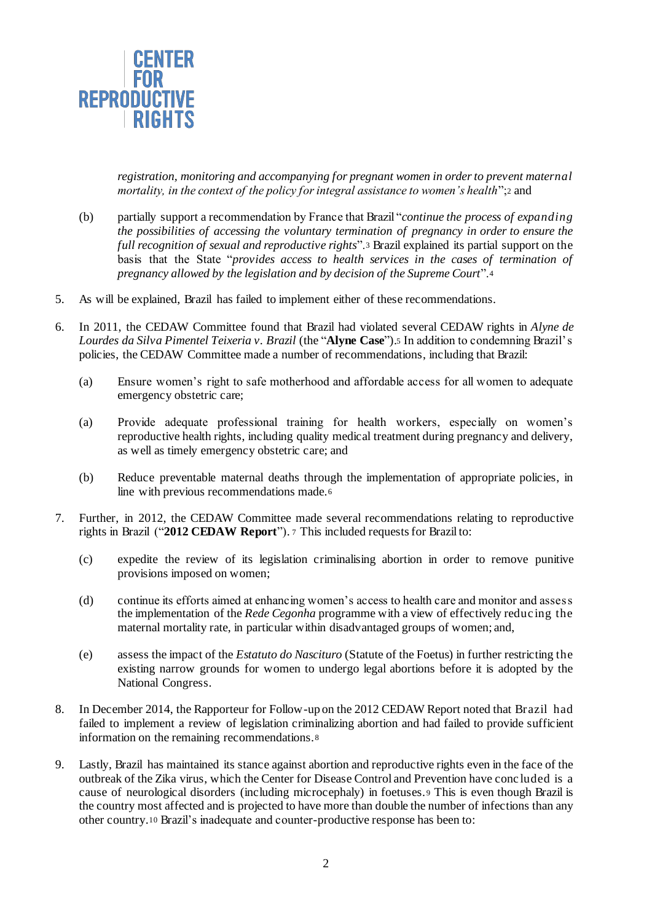

*registration, monitoring and accompanying for pregnant women in order to prevent maternal mortality, in the context of the policy for integral assistance to women's health*";<sup>2</sup> and

- (b) partially support a recommendation by France that Brazil "*continue the process of expanding the possibilities of accessing the voluntary termination of pregnancy in order to ensure the full recognition of sexual and reproductive rights*".<sup>3</sup> Brazil explained its partial support on the basis that the State "*provides access to health services in the cases of termination of pregnancy allowed by the legislation and by decision of the Supreme Court*".<sup>4</sup>
- 5. As will be explained, Brazil has failed to implement either of these recommendations.
- 6. In 2011, the CEDAW Committee found that Brazil had violated several CEDAW rights in *Alyne de Lourdes da Silva Pimentel Teixeria v. Brazil* (the "**Alyne Case**").<sup>5</sup> In addition to condemning Brazil's policies, the CEDAW Committee made a number of recommendations, including that Brazil:
	- (a) Ensure women's right to safe motherhood and affordable access for all women to adequate emergency obstetric care;
	- (a) Provide adequate professional training for health workers, especially on women's reproductive health rights, including quality medical treatment during pregnancy and delivery, as well as timely emergency obstetric care; and
	- (b) Reduce preventable maternal deaths through the implementation of appropriate policies, in line with previous recommendations made.<sup>6</sup>
- 7. Further, in 2012, the CEDAW Committee made several recommendations relating to reproductive rights in Brazil ("**2012 CEDAW Report**"). <sup>7</sup> This included requests for Brazil to:
	- (c) expedite the review of its legislation criminalising abortion in order to remove punitive provisions imposed on women;
	- (d) continue its efforts aimed at enhancing women's access to health care and monitor and assess the implementation of the *Rede Cegonha* programme with a view of effectively reduc ing the maternal mortality rate, in particular within disadvantaged groups of women; and,
	- (e) assess the impact of the *Estatuto do Nascituro* (Statute of the Foetus) in further restricting the existing narrow grounds for women to undergo legal abortions before it is adopted by the National Congress.
- 8. In December 2014, the Rapporteur for Follow-up on the 2012 CEDAW Report noted that Brazil had failed to implement a review of legislation criminalizing abortion and had failed to provide sufficient information on the remaining recommendations.<sup>8</sup>
- 9. Lastly, Brazil has maintained its stance against abortion and reproductive rights even in the face of the outbreak of the Zika virus, which the Center for Disease Control and Prevention have conc luded is a cause of neurological disorders (including microcephaly) in foetuses. <sup>9</sup> This is even though Brazil is the country most affected and is projected to have more than double the number of infections than any other country.<sup>10</sup> Brazil's inadequate and counter-productive response has been to: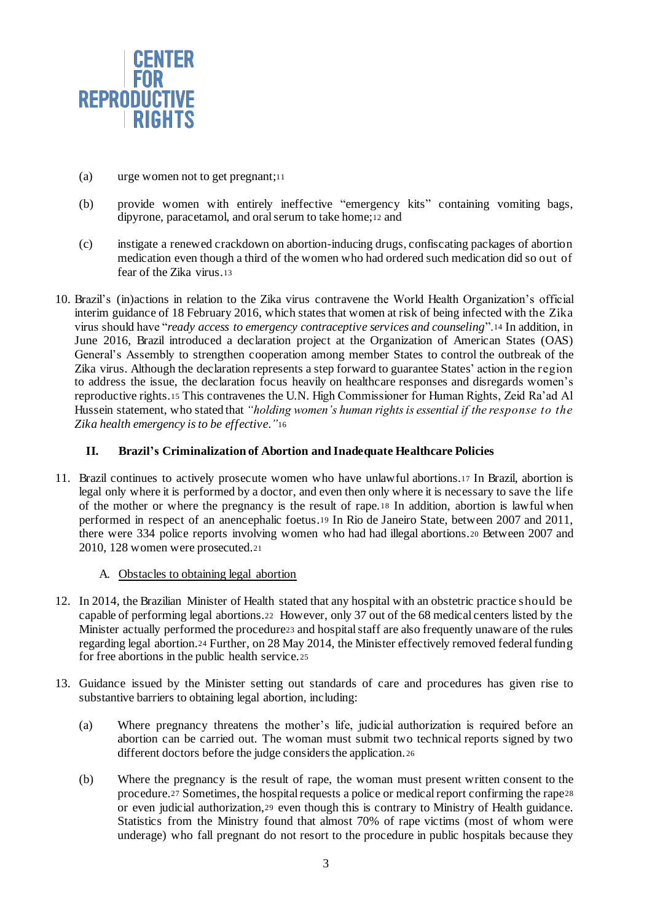

- (a) urge women not to get pregnant;<sup>11</sup>
- (b) provide women with entirely ineffective "emergency kits" containing vomiting bags, dipyrone, paracetamol, and oral serum to take home;<sup>12</sup> and
- (c) instigate a renewed crackdown on abortion-inducing drugs, confiscating packages of abortion medication even though a third of the women who had ordered such medication did so out of fear of the Zika virus.<sup>13</sup>
- 10. Brazil's (in)actions in relation to the Zika virus contravene the World Health Organization's official interim guidance of 18 February 2016, which states that women at risk of being infected with the Zika virus should have "*ready access to emergency contraceptive services and counseling*".<sup>14</sup> In addition, in June 2016, Brazil introduced a declaration project at the Organization of American States (OAS) General's Assembly to strengthen cooperation among member States to control the outbreak of the Zika virus. Although the declaration represents a step forward to guarantee States' action in the region to address the issue, the declaration focus heavily on healthcare responses and disregards women's reproductive rights.<sup>15</sup> This contravenes the U.N. High Commissioner for Human Rights, Zeid Ra'ad Al Hussein statement, who stated that *"holding women's human rights is essential if the response to the Zika health emergency is to be effective."*<sup>16</sup>

### **II. Brazil's Criminalization of Abortion and Inadequate Healthcare Policies**

- 11. Brazil continues to actively prosecute women who have unlawful abortions.<sup>17</sup> In Brazil, abortion is legal only where it is performed by a doctor, and even then only where it is necessary to save the life of the mother or where the pregnancy is the result of rape.<sup>18</sup> In addition, abortion is lawful when performed in respect of an anencephalic foetus.<sup>19</sup> In Rio de Janeiro State, between 2007 and 2011, there were 334 police reports involving women who had had illegal abortions.<sup>20</sup> Between 2007 and 2010, 128 women were prosecuted.<sup>21</sup>
	- A. Obstacles to obtaining legal abortion
- 12. In 2014, the Brazilian Minister of Health stated that any hospital with an obstetric practice should be capable of performing legal abortions.<sup>22</sup> However, only 37 out of the 68 medical centers listed by the Minister actually performed the procedure<sup>23</sup> and hospital staff are also frequently unaware of the rules regarding legal abortion.<sup>24</sup> Further, on 28 May 2014, the Minister effectively removed federal funding for free abortions in the public health service.<sup>25</sup>
- 13. Guidance issued by the Minister setting out standards of care and procedures has given rise to substantive barriers to obtaining legal abortion, including:
	- (a) Where pregnancy threatens the mother's life, judicial authorization is required before an abortion can be carried out. The woman must submit two technical reports signed by two different doctors before the judge considers the application. <sup>26</sup>
	- (b) Where the pregnancy is the result of rape, the woman must present written consent to the procedure.<sup>27</sup> Sometimes, the hospital requests a police or medical report confirming the rape<sup>28</sup> or even judicial authorization,<sup>29</sup> even though this is contrary to Ministry of Health guidance. Statistics from the Ministry found that almost 70% of rape victims (most of whom were underage) who fall pregnant do not resort to the procedure in public hospitals because they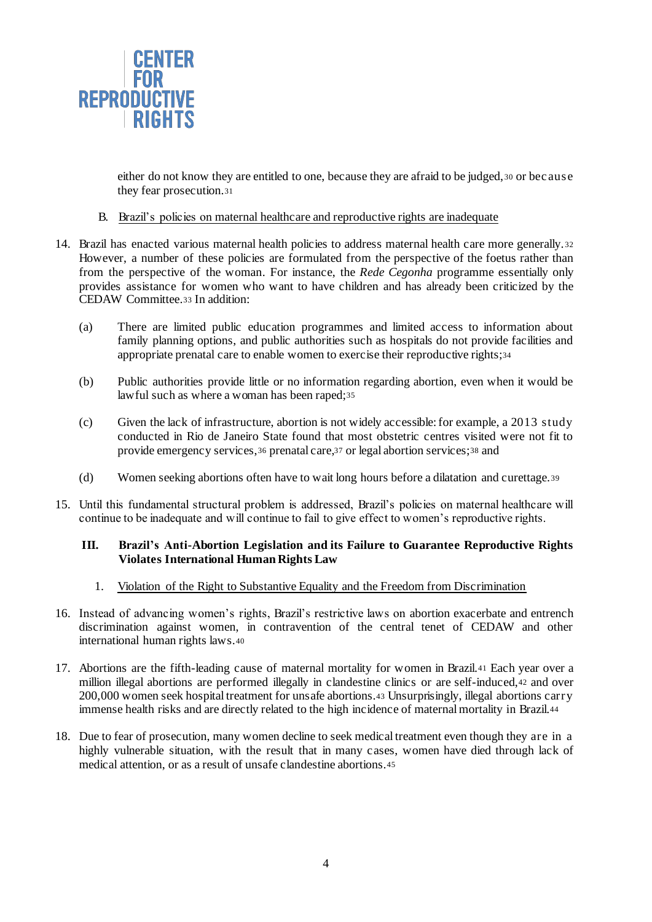

either do not know they are entitled to one, because they are afraid to be judged, <sup>30</sup> or bec ause they fear prosecution.<sup>31</sup>

### B. Brazil's policies on maternal healthcare and reproductive rights are inadequate

- 14. Brazil has enacted various maternal health policies to address maternal health care more generally. <sup>32</sup> However, a number of these policies are formulated from the perspective of the foetus rather than from the perspective of the woman. For instance, the *Rede Cegonha* programme essentially only provides assistance for women who want to have children and has already been criticized by the CEDAW Committee.<sup>33</sup> In addition:
	- (a) There are limited public education programmes and limited access to information about family planning options, and public authorities such as hospitals do not provide facilities and appropriate prenatal care to enable women to exercise their reproductive rights;<sup>34</sup>
	- (b) Public authorities provide little or no information regarding abortion, even when it would be lawful such as where a woman has been raped;<sup>35</sup>
	- (c) Given the lack of infrastructure, abortion is not widely accessible: for example, a 2013 study conducted in Rio de Janeiro State found that most obstetric centres visited were not fit to provide emergency services,<sup>36</sup> prenatal care,<sup>37</sup> or legal abortion services;<sup>38</sup> and
	- (d) Women seeking abortions often have to wait long hours before a dilatation and curettage.<sup>39</sup>
- 15. Until this fundamental structural problem is addressed, Brazil's policies on maternal healthcare will continue to be inadequate and will continue to fail to give effect to women's reproductive rights.

# **III. Brazil's Anti-Abortion Legislation and its Failure to Guarantee Reproductive Rights Violates International Human Rights Law**

- 1. Violation of the Right to Substantive Equality and the Freedom from Discrimination
- 16. Instead of advancing women's rights, Brazil's restrictive laws on abortion exacerbate and entrench discrimination against women, in contravention of the central tenet of CEDAW and other international human rights laws.<sup>40</sup>
- 17. Abortions are the fifth-leading cause of maternal mortality for women in Brazil.<sup>41</sup> Each year over a million illegal abortions are performed illegally in clandestine clinics or are self-induced,<sup>42</sup> and over 200,000 women seek hospital treatment for unsafe abortions.<sup>43</sup> Unsurprisingly, illegal abortions carry immense health risks and are directly related to the high incidence of maternal mortality in Brazil.<sup>44</sup>
- 18. Due to fear of prosecution, many women decline to seek medical treatment even though they are in a highly vulnerable situation, with the result that in many cases, women have died through lack of medical attention, or as a result of unsafe clandestine abortions.45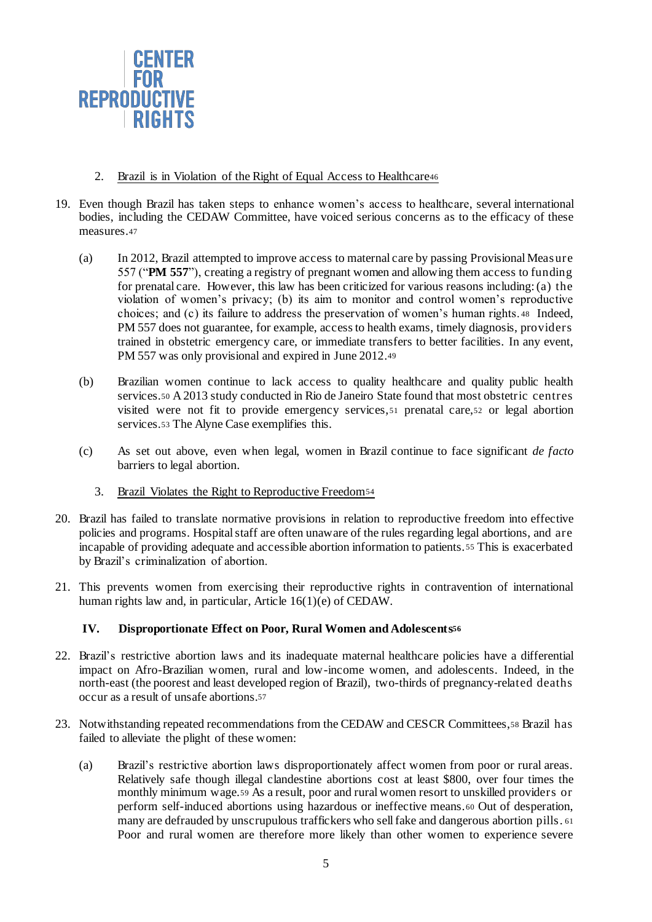

- 2. Brazil is in Violation of the Right of Equal Access to Healthcare<sup>46</sup>
- 19. Even though Brazil has taken steps to enhance women's access to healthcare, several international bodies, including the CEDAW Committee, have voiced serious concerns as to the efficacy of these measures.<sup>47</sup>
	- (a) In 2012, Brazil attempted to improve access to maternal care by passing Provisional Measure 557 ("**PM 557**"), creating a registry of pregnant women and allowing them access to funding for prenatal care. However, this law has been criticized for various reasons including: (a) the violation of women's privacy; (b) its aim to monitor and control women's reproductive choices; and (c) its failure to address the preservation of women's human rights. <sup>48</sup> Indeed, PM 557 does not guarantee, for example, access to health exams, timely diagnosis, providers trained in obstetric emergency care, or immediate transfers to better facilities. In any event, PM 557 was only provisional and expired in June 2012.49
	- (b) Brazilian women continue to lack access to quality healthcare and quality public health services.<sup>50</sup> A 2013 study conducted in Rio de Janeiro State found that most obstetric centres visited were not fit to provide emergency services, <sup>51</sup> prenatal care,<sup>52</sup> or legal abortion services.<sup>53</sup> The Alyne Case exemplifies this.
	- (c) As set out above, even when legal, women in Brazil continue to face significant *de facto* barriers to legal abortion.
		- 3. Brazil Violates the Right to Reproductive Freedom<sup>54</sup>
- 20. Brazil has failed to translate normative provisions in relation to reproductive freedom into effective policies and programs. Hospital staff are often unaware of the rules regarding legal abortions, and are incapable of providing adequate and accessible abortion information to patients. <sup>55</sup> This is exacerbated by Brazil's criminalization of abortion.
- 21. This prevents women from exercising their reproductive rights in contravention of international human rights law and, in particular, Article 16(1)(e) of CEDAW.

#### **IV. Disproportionate Effect on Poor, Rural Women and Adolescents<sup>56</sup>**

- 22. Brazil's restrictive abortion laws and its inadequate maternal healthcare policies have a differential impact on Afro-Brazilian women, rural and low-income women, and adolescents. Indeed, in the north-east (the poorest and least developed region of Brazil), two-thirds of pregnancy-related deaths occur as a result of unsafe abortions.<sup>57</sup>
- 23. Notwithstanding repeated recommendations from the CEDAW and CESCR Committees,<sup>58</sup> Brazil has failed to alleviate the plight of these women:
	- (a) Brazil's restrictive abortion laws disproportionately affect women from poor or rural areas. Relatively safe though illegal clandestine abortions cost at least \$800, over four times the monthly minimum wage.<sup>59</sup> As a result, poor and rural women resort to unskilled providers or perform self-induced abortions using hazardous or ineffective means. <sup>60</sup> Out of desperation, many are defrauded by unscrupulous traffickers who sell fake and dangerous abortion pills. <sup>61</sup> Poor and rural women are therefore more likely than other women to experience severe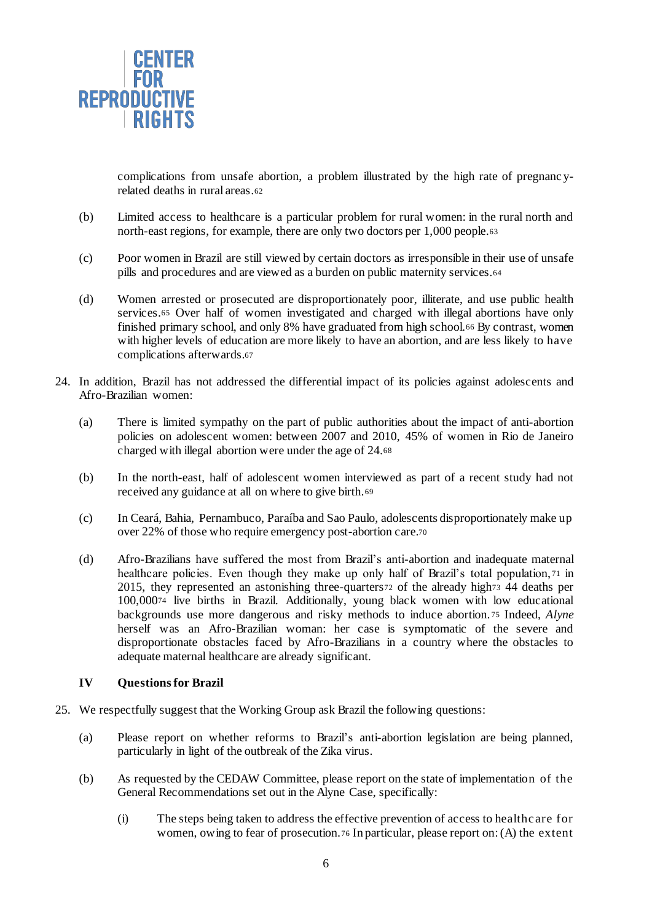

complications from unsafe abortion, a problem illustrated by the high rate of pregnanc yrelated deaths in rural areas.<sup>62</sup>

- (b) Limited access to healthcare is a particular problem for rural women: in the rural north and north-east regions, for example, there are only two doctors per 1,000 people.<sup>63</sup>
- (c) Poor women in Brazil are still viewed by certain doctors as irresponsible in their use of unsafe pills and procedures and are viewed as a burden on public maternity services.<sup>64</sup>
- (d) Women arrested or prosecuted are disproportionately poor, illiterate, and use public health services.<sup>65</sup> Over half of women investigated and charged with illegal abortions have only finished primary school, and only 8% have graduated from high school.<sup>66</sup> By contrast, women with higher levels of education are more likely to have an abortion, and are less likely to have complications afterwards.<sup>67</sup>
- 24. In addition, Brazil has not addressed the differential impact of its policies against adolescents and Afro-Brazilian women:
	- (a) There is limited sympathy on the part of public authorities about the impact of anti-abortion policies on adolescent women: between 2007 and 2010, 45% of women in Rio de Janeiro charged with illegal abortion were under the age of 24.<sup>68</sup>
	- (b) In the north-east, half of adolescent women interviewed as part of a recent study had not received any guidance at all on where to give birth.<sup>69</sup>
	- (c) In Ceará, Bahia, Pernambuco, Paraíba and Sao Paulo, adolescents disproportionately make up over 22% of those who require emergency post-abortion care.<sup>70</sup>
	- (d) Afro-Brazilians have suffered the most from Brazil's anti-abortion and inadequate maternal healthcare policies. Even though they make up only half of Brazil's total population, 71 in 2015, they represented an astonishing three-quarters<sup>72</sup> of the already high<sup>73</sup> 44 deaths per 100,000<sup>74</sup> live births in Brazil. Additionally, young black women with low educational backgrounds use more dangerous and risky methods to induce abortion. <sup>75</sup> Indeed, *Alyne* herself was an Afro-Brazilian woman: her case is symptomatic of the severe and disproportionate obstacles faced by Afro-Brazilians in a country where the obstacles to adequate maternal healthcare are already significant.

# **IV Questions for Brazil**

- 25. We respectfully suggest that the Working Group ask Brazil the following questions:
	- (a) Please report on whether reforms to Brazil's anti-abortion legislation are being planned, particularly in light of the outbreak of the Zika virus.
	- (b) As requested by the CEDAW Committee, please report on the state of implementation of the General Recommendations set out in the Alyne Case, specifically:
		- (i) The steps being taken to address the effective prevention of access to healthc are for women, owing to fear of prosecution.<sup>76</sup> In particular, please report on: (A) the extent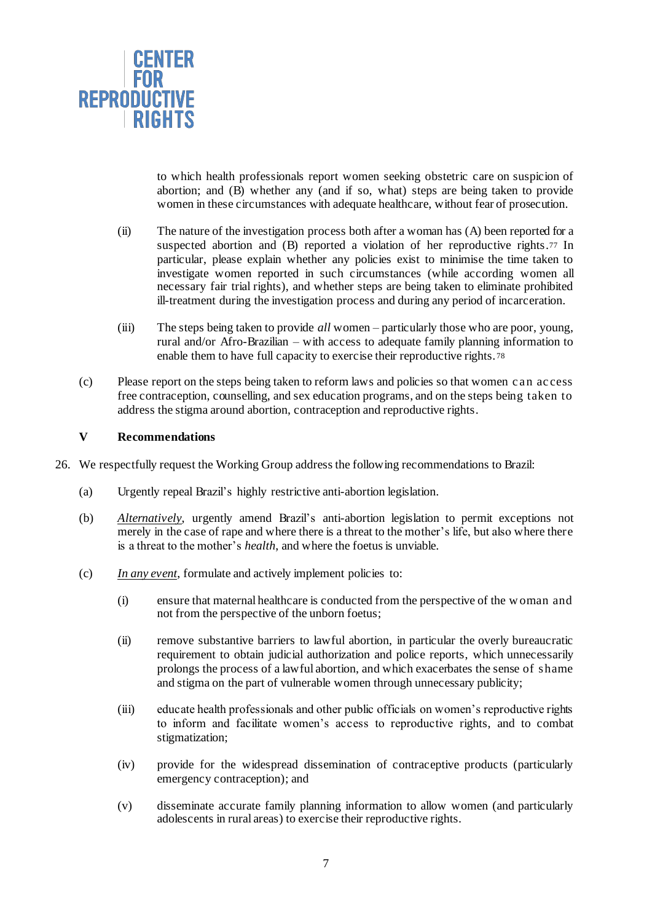

to which health professionals report women seeking obstetric care on suspicion of abortion; and (B) whether any (and if so, what) steps are being taken to provide women in these circumstances with adequate healthcare, without fear of prosecution.

- (ii) The nature of the investigation process both after a woman has (A) been reported for a suspected abortion and (B) reported a violation of her reproductive rights.<sup>77</sup> In particular, please explain whether any policies exist to minimise the time taken to investigate women reported in such circumstances (while according women all necessary fair trial rights), and whether steps are being taken to eliminate prohibited ill-treatment during the investigation process and during any period of incarceration.
- (iii) The steps being taken to provide *all* women particularly those who are poor, young, rural and/or Afro-Brazilian – with access to adequate family planning information to enable them to have full capacity to exercise their reproductive rights. <sup>78</sup>
- (c) Please report on the steps being taken to reform laws and policies so that women c an ac cess free contraception, counselling, and sex education programs, and on the steps being taken to address the stigma around abortion, contraception and reproductive rights.

#### **V Recommendations**

- 26. We respectfully request the Working Group address the following recommendations to Brazil:
	- (a) Urgently repeal Brazil's highly restrictive anti-abortion legislation.
	- (b) *Alternatively*, urgently amend Brazil's anti-abortion legislation to permit exceptions not merely in the case of rape and where there is a threat to the mother's life, but also where there is a threat to the mother's *health*, and where the foetus is unviable.
	- (c) *In any event*, formulate and actively implement policies to:
		- (i) ensure that maternal healthcare is conducted from the perspective of the w oman and not from the perspective of the unborn foetus;
		- (ii) remove substantive barriers to lawful abortion, in particular the overly bureaucratic requirement to obtain judicial authorization and police reports, which unnecessarily prolongs the process of a lawful abortion, and which exacerbates the sense of shame and stigma on the part of vulnerable women through unnecessary publicity;
		- (iii) educate health professionals and other public officials on women's reproductive rights to inform and facilitate women's access to reproductive rights, and to combat stigmatization;
		- (iv) provide for the widespread dissemination of contraceptive products (particularly emergency contraception); and
		- (v) disseminate accurate family planning information to allow women (and particularly adolescents in rural areas) to exercise their reproductive rights.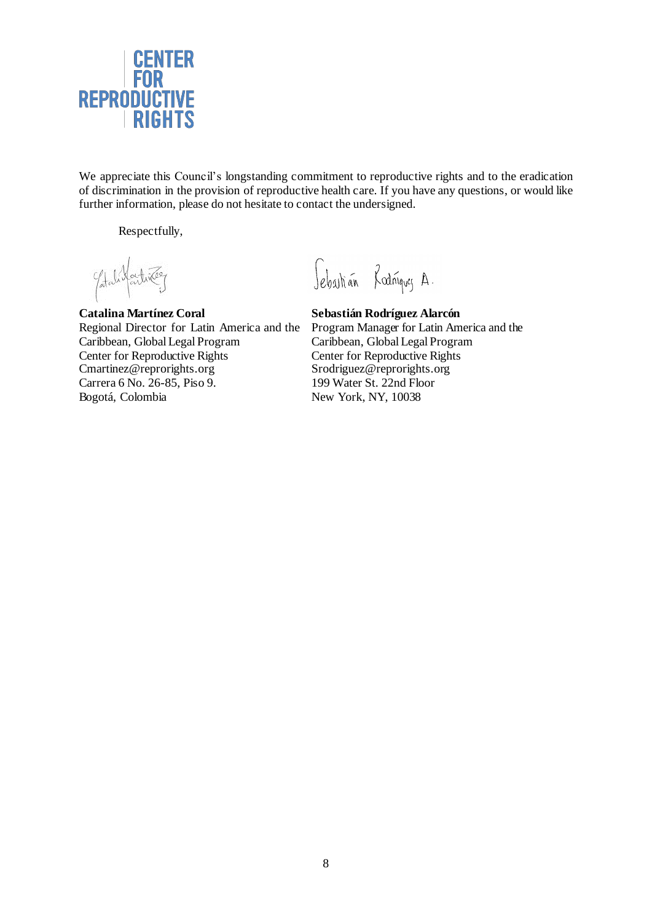

We appreciate this Council's longstanding commitment to reproductive rights and to the eradication of discrimination in the provision of reproductive health care. If you have any questions, or would like further information, please do not hesitate to contact the undersigned.

Respectfully,

Yatali factured

**Catalina Martínez Coral** Regional Director for Latin America and the Caribbean, Global Legal Program Center for Reproductive Rights Cmartinez@reprorights.org Carrera 6 No. 26-85, Piso 9. Bogotá, Colombia

Jebashán Rodniques A.

Sebastián Rodríguez Alarcón Program Manager for Latin America and the Caribbean, Global Legal Program Center for Reproductive Rights Srodriguez@reprorights.org 199 Water St. 22nd Floor New York, NY, 10038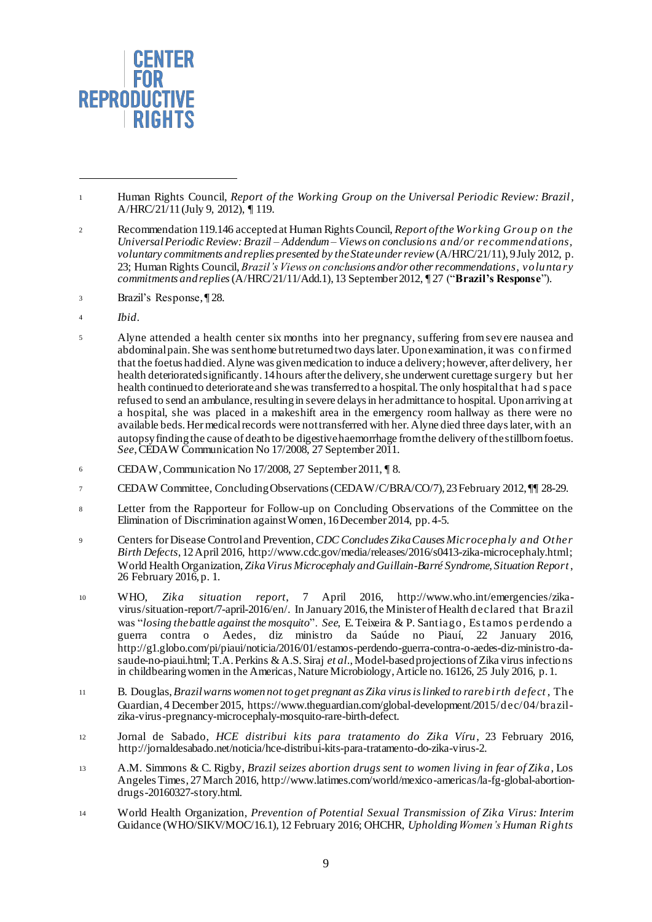

- <sup>2</sup> Recommendation 119.146 accepted at Human Rights Council, *Report of the Working Grou p on the Universal Periodic Review: Brazil – Addendum – Views on conclusions and/or recommendations, voluntary commitments and replies presented by the State under review*(A/HRC/21/11), 9 July 2012, p. 23; Human Rights Council, *Brazil's Views on conclusions and/or other recommendations, voluntary commitments and replies*(A/HRC/21/11/Add.1), 13 September 2012, ¶ 27 ("**Brazil's Response**").
- <sup>3</sup> Brazil's Response, ¶ 28.
- <sup>4</sup> *Ibid*.

- <sup>5</sup> Alyne attended a health center six months into her pregnancy, suffering from sev ere nausea and abdominal pain. She was sent home but returned two days later. Upon examination, it was confirmed that the foetus had died. Alyne was given medication to induce a delivery; however, after delivery, her health deteriorated significantly. 14 hours after the delivery, she underwent curettage surgery but her health continued to deteriorate and she was transferred to a hospital. The only hospital that had s pace refused to send an ambulance, resulting in severe delays in her admittance to hospital. Upon arriving at a hospital, she was placed in a makeshift area in the emergency room hallway as there were no available beds. Her medical records were not transferred with her. Alyne died three days later, with an autopsy finding the cause of death to be digestive haemorrhage from the delivery of the stillborn foetus. *See*, CEDAW Communication No 17/2008, 27 September 2011.
- <sup>6</sup> CEDAW, Communication No 17/2008, 27 September 2011, ¶ 8.
- <sup>7</sup> CEDAW Committee, Concluding Observations (CEDAW/C/BRA/CO/7), 23 February 2012, ¶¶ 28-29.
- <sup>8</sup> Letter from the Rapporteur for Follow-up on Concluding Observations of the Committee on the Elimination of Discrimination against Women, 16 December 2014, pp. 4-5.
- <sup>9</sup> Centers for Disease Control and Prevention, *CDC Concludes Zika Causes Microcephaly and Other Birth Defects*, 12 April 2016, http://www.cdc.gov/media/releases/2016/s0413-zika-microcephaly.html; World Health Organization, *Zika Virus Microcephaly and Guillain-Barré Syndrome, Situation Report*, 26 February 2016, p. 1.
- <sup>10</sup> WHO, *Zika situation report*, 7 April 2016, http://www.who.int/emergencies/zikavirus/situation-report/7-april-2016/en/. In January 2016, the Minister of Health declared that Brazil was "*losing the battle against the mosquito*". *See*, E. Teixeira & P. Santiago, Es tamos perdendo a guerra contra o Aedes, diz ministro da Saúde no Piauí, 22 January 2016, http://g1.globo.com/pi/piaui/noticia/2016/01/estamos-perdendo-guerra-contra-o-aedes-diz-ministro-dasaude-no-piaui.html; T.A. Perkins & A.S. Siraj *et al.*, Model-based projections of Zika virus infections in childbearing women in the Americas, Nature Microbiology, Article no. 16126, 25 July 2016, p. 1.
- <sup>11</sup> B. Douglas, *Brazil warns women not to get pregnant as Zika virus is linked to rare birth defect* , The Guardian, 4 December 2015, https://www.theguardian.com/global-development/2015/dec/04/brazilzika-virus-pregnancy-microcephaly-mosquito-rare-birth-defect.
- <sup>12</sup> Jornal de Sabado, *HCE distribui kits para tratamento do Zika Víru*, 23 February 2016, http://jornaldesabado.net/noticia/hce-distribui-kits-para-tratamento-do-zika-virus-2.
- <sup>13</sup> A.M. Simmons & C. Rigby, *Brazil seizes abortion drugs sent to women living in fear of Zika*, Los Angeles Times, 27 March 2016, http://www.latimes.com/world/mexico-americas/la-fg-global-abortiondrugs-20160327-story.html.
- <sup>14</sup> World Health Organization, *Prevention of Potential Sexual Transmission of Zika Virus: Interim*  Guidance (WHO/SIKV/MOC/16.1), 12 February 2016; OHCHR, *UpholdingWomen's Human Rights*

<sup>1</sup> Human Rights Council, *Report of the Working Group on the Universal Periodic Review: Brazil*, A/HRC/21/11 (July 9, 2012), ¶ 119.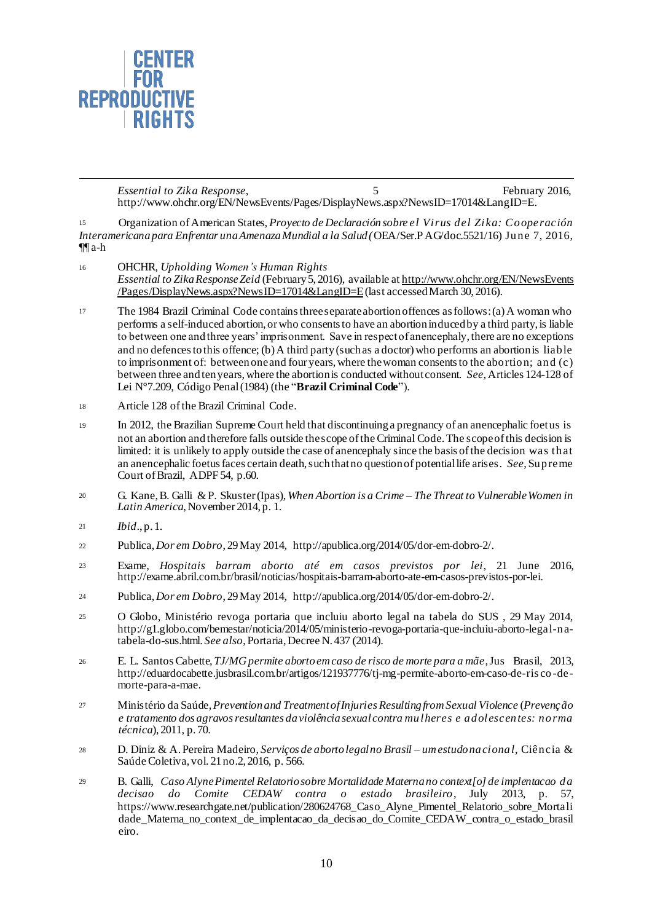

*Essential to Zika Response*, 5 February 2016, http://www.ohchr.org/EN/NewsEvents/Pages/DisplayNews.aspx?NewsID=17014&LangID=E.

<sup>15</sup> Organization of American States, *Proyecto de Declaración sobre el Virus del Zika: Cooperación Interamericana para Enfrentar una Amenaza Mundial a la Salud (*OEA/Ser.P AG/doc.5521/16) June 7, 2016, ¶¶ a-h

- <sup>16</sup> OHCHR, *Upholding Women's Human Rights Essential to ZikaResponseZeid* (February5, 2016), available at http://www.ohchr.org/EN/NewsEvents /Pages/DisplayNews.aspx?NewsID=17014&LangID=E(last accessed March 30, 2016).
- <sup>17</sup> The 1984 Brazil Criminal Code contains three separate abortion offences as follows: (a) A woman who performs a self-induced abortion, or who consents to have an abortion induced by a third party, is liable to between one and three years' imprisonment. Save in respect of anencephaly, there are no exceptions and no defences to this offence; (b) A third party (such as a doctor) who performs an abortion is liable to imprisonment of: between one and four years, where the woman consents to the abortion; and (c) between three and ten years, where the abortion is conducted without consent. *See*, Articles 124-128 of Lei N°7.209, Código Penal (1984) (the "**Brazil Criminal Code**").
- <sup>18</sup> Article 128 of the Brazil Criminal Code.
- <sup>19</sup> In 2012, the Brazilian Supreme Court held that discontinuing a pregnancy of an anencephalic foetus is not an abortion and therefore falls outside the scope of the Criminal Code. The scope of this decision is limited: it is unlikely to apply outside the case of anencephaly since the basis of the decision was that an anencephalic foetus faces certain death, such that no question of potential life arises. *See*, Supreme Court of Brazil, ADPF 54, p.60.
- <sup>20</sup> G. Kane, B. Galli & P. Skuster (Ipas), *When Abortion is a Crime – The Threat to Vulnerable Women in Latin America*, November 2014, p. 1.
- <sup>21</sup> *Ibid*., p. 1.
- <sup>22</sup> Publica, *Dor em Dobro*, 29 May 2014, http://apublica.org/2014/05/dor-em-dobro-2/.
- <sup>23</sup> Exame, *Hospitais barram aborto até em casos previstos por lei*, 21 June 2016, http://exame.abril.com.br/brasil/noticias/hospitais-barram-aborto-ate-em-casos-previstos-por-lei.
- <sup>24</sup> Publica, *Dor em Dobro*, 29 May 2014, http://apublica.org/2014/05/dor-em-dobro-2/.
- <sup>25</sup> O Globo, Ministério revoga portaria que incluiu aborto legal na tabela do SUS , 29 May 2014, http://g1.globo.com/bemestar/noticia/2014/05/ministerio-revoga-portaria-que-incluiu-aborto-legal-natabela-do-sus.html. *See also*, Portaria, Decree N. 437 (2014).
- <sup>26</sup> E. L. SantosCabette, *TJ/MG permite aborto em caso de risco de morte para a mãe*, Jus Brasil, 2013, http://eduardocabette.jusbrasil.com.br/artigos/121937776/tj-mg-permite-aborto-em-caso-de-ris co-demorte-para-a-mae.
- <sup>27</sup> Ministério da Saúde, *Prevention and Treatment of Injuries Resulting from Sexual Violence* (*Prevenção e tratamento dos agravos resultantes da violência sexual contra mulheres e adolescentes: norma técnica*), 2011, p. 70.
- <sup>28</sup> D. Diniz & A. Pereira Madeiro, *Serviços de aborto legal no Brasil – um estudo nacional*, Ciência & Saúde Coletiva, vol. 21 no.2, 2016, p. 566.
- <sup>29</sup> B. Galli, *Caso Alyne Pimentel Relatorio sobre Mortalidade Materna no context[o] de implentacao da decisao do Comite CEDAW contra o estado brasileiro*, July 2013, p. 57, https://www.researchgate.net/publication/280624768\_Caso\_Alyne\_Pimentel\_Relatorio\_sobre\_Mortali dade\_Materna\_no\_context\_de\_implentacao\_da\_decisao\_do\_Comite\_CEDAW\_contra\_o\_estado\_brasil eiro.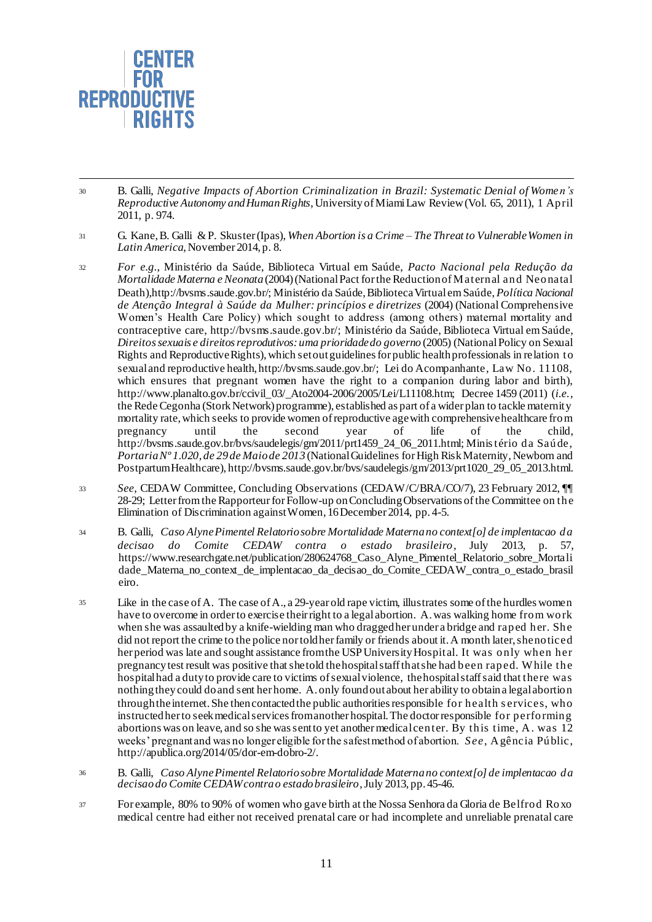

- $\overline{a}$ <sup>30</sup> B. Galli, *Negative Impacts of Abortion Criminalization in Brazil: Systematic Denial of Women's Reproductive Autonomy and Human Rights*, University of Miami Law Review (Vol. 65, 2011), 1 April 2011, p. 974.
- <sup>31</sup> G. Kane, B. Galli & P. Skuster (Ipas), *When Abortion is a Crime – The Threat to Vulnerable Women in Latin America*, November 2014, p. 8.
- <sup>32</sup> *For e.g.*, Ministério da Saúde, Biblioteca Virtual em Saúde, *Pacto Nacional pela Redução da Mortalidade Materna e Neonata* (2004) (National Pact for the Reduction of Maternal and Neonatal Death),http://bvsms.saude.gov.br/; Ministério da Saúde, Biblioteca Virtual em Saúde, *Política Nacional de Atenção Integral à Saúde da Mulher: princípios e diretrizes* (2004) (National Comprehensive Women's Health Care Policy) which sought to address (among others) maternal mortality and contraceptive care, http://bvsms.saude.gov.br/; Ministério da Saúde, Biblioteca Virtual em Saúde, *Direitos sexuais e direitos reprodutivos: uma prioridade do governo* (2005) (National Policy on Sexual Rights and Reproductive Rights), which set out guidelines for public health professionals in relation to sexual and reproductive health, http://bvsms.saude.gov.br/; Lei do Acompanhante, Law No. 11108, which ensures that pregnant women have the right to a companion during labor and birth), http://www.planalto.gov.br/ccivil\_03/\_Ato2004-2006/2005/Lei/L11108.htm; Decree 1459 (2011) (*i.e.*, the Rede Cegonha (Stork Network) programme), established as part of a wider plan to tackle maternity mortality rate, which seeks to provide women of reproductive age with comprehensive healthcare from pregnancy until the second year of life of the child, http://bvsms.saude.gov.br/bvs/saudelegis/gm/2011/prt1459\_24\_06\_2011.html; Minis tério da Saúde, *Portaria Nº 1.020, de 29 de Maio de 2013* (National Guidelines for High Risk Maternity, Newborn and Postpartum Healthcare), http://bvsms.saude.gov.br/bvs/saudelegis/gm/2013/prt1020\_29\_05\_2013.html.
- <sup>33</sup> *See*, CEDAW Committee, Concluding Observations (CEDAW/C/BRA/CO/7), 23 February 2012, ¶¶ 28-29; Letter from the Rapporteur for Follow-up on Concluding Observations of the Committee on the Elimination of Discrimination against Women, 16 December 2014, pp. 4-5.
- <sup>34</sup> B. Galli, *Caso Alyne Pimentel Relatorio sobre Mortalidade Materna no context[o] de implentacao da decisao do Comite CEDAW contra o estado brasileiro*, July 2013, p. 57, https://www.researchgate.net/publication/280624768\_Caso\_Alyne\_Pimentel\_Relatorio\_sobre\_Mortali dade Materna no context de implentacao da decisao do Comite CEDAW contra o estado brasil eiro.
- <sup>35</sup> Like in the case of A. The case of A., a 29-year old rape victim, illustrates some of the hurdles women have to overcome in order to exercise their right to a legal abortion. A. was walking home from work when she was assaulted by a knife-wielding man who dragged her under a bridge and raped her. She did not report the crime to the police nor told her family or friends about it. A month later, she noticed her period was late and sought assistance from the USP University Hospital. It was only when her pregnancy test result was positive that she told the hospital staff that she had been raped. W hile the hospital had a duty to provide care to victims of sexual violence, the hospital staff said that there was nothing they could do and sent her home. A. only found out about her ability to obtain a legal abortion through theinternet. She then contacted the public authorities responsible for health s ervices, who instructed her to seek medical services from another hospital. The doctor responsible for performing abortions was on leave, and so she was sent to yet another medical center. By this time, A. was 12 weeks' pregnant and was no longer eligible for the safest method of abortion. *See*, Agência Públic, http://apublica.org/2014/05/dor-em-dobro-2/.
- <sup>36</sup> B. Galli, *Caso Alyne Pimentel Relatorio sobre Mortalidade Materna no context[o] de implentacao da decisao do Comite CEDAW contra o estado brasileiro*, July 2013, pp. 45-46.
- <sup>37</sup> For example, 80% to 90% of women who gave birth at the Nossa Senhora da Gloria de Belfrod Roxo medical centre had either not received prenatal care or had incomplete and unreliable prenatal care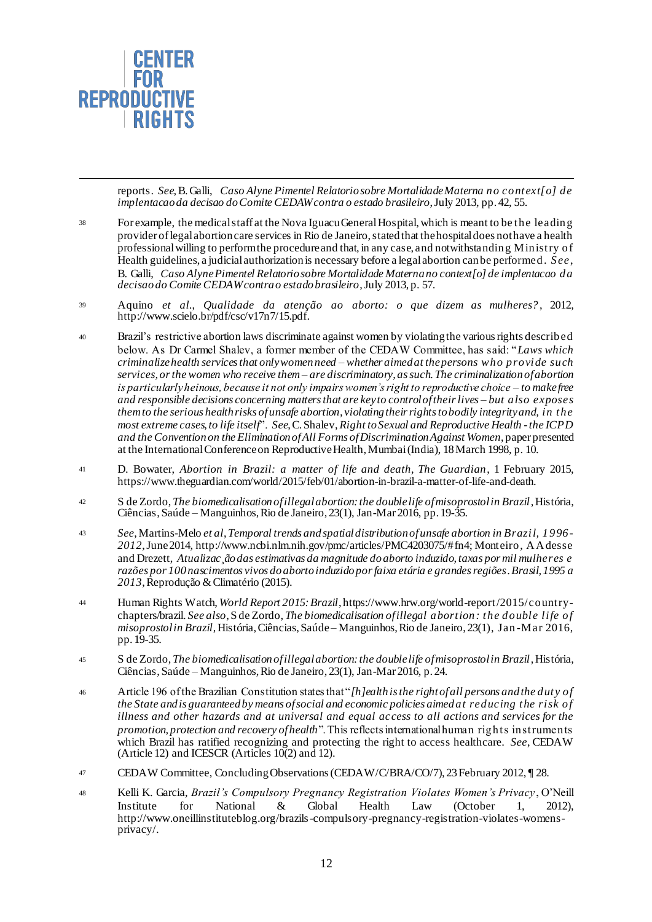

reports. *See*, B. Galli, *Caso Alyne Pimentel Relatorio sobre Mortalidade Materna no context[o] de implentacao da decisao do Comite CEDAW contra o estado brasileiro*, July 2013, pp. 42, 55.

- <sup>38</sup> For example, the medical staff at the Nova Iguacu General Hospital, which is meant to be the leading provider of legal abortion care services in Rio de Janeiro, stated that the hospital does not have a health professional willing to perform the procedure and that, in any case, and notwithstanding Ministry of Health guidelines, a judicial authorization is necessary before a legal abortion can be performed. *See*, B. Galli, *Caso Alyne Pimentel Relatorio sobre Mortalidade Materna no context[o] de implentacao da decisao do Comite CEDAW contra o estado brasileiro*, July 2013, p. 57.
- <sup>39</sup> Aquino *et al.*, *Qualidade da atenção ao aborto: o que dizem as mulheres?* , 2012, http://www.scielo.br/pdf/csc/v17n7/15.pdf.
- <sup>40</sup> Brazil's restrictive abortion laws discriminate against women by violating the various rights described below. As Dr Carmel Shalev, a former member of the CEDAW Committee, has said: "*Laws which criminalize health services that only women need – whether aimed at the persons who provide such services, or the women who receive them – are discriminatory, as such. The criminalization of abortion is particularly heinous, because it not only impairs women's right to reproductive choice – to make free and responsible decisions concerning matters that are key to control of their lives – but also exposes them to the serious health risks of unsafe abortion, violating their rights to bodily integrity and, in the most extreme cases, to life itself*". *See*, C. Shalev, *Right to Sexual and Reproductive Health -the ICPD and the Convention on the Elimination of All Forms of Discrimination Against Women*, paper presented at the International Conference on Reproductive Health, Mumbai (India), 18 March 1998, p. 10.
- <sup>41</sup> D. Bowater, *Abortion in Brazil: a matter of life and death, The Guardian*, 1 February 2015, https://www.theguardian.com/world/2015/feb/01/abortion-in-brazil-a-matter-of-life-and-death.
- <sup>42</sup> S de Zordo, *The biomedicalisation of illegal abortion: the double life of misoprostol in Brazil*, História, Ciências, Saúde – Manguinhos, Rio de Janeiro, 23(1), Jan-Mar 2016, pp. 19-35.
- <sup>43</sup> *See*,Martins-Melo *et al*, *Temporal trends and spatial distribution of unsafe abortion in Brazil, 1996- 2012*, June 2014, http://www.ncbi.nlm.nih.gov/pmc/articles/PMC4203075/#fn4; Monteiro, AAdesse and Drezett, *Atualizac¸ão das estimativas da magnitude do aborto induzido, taxas por mil mulheres e razões por 100 nascimentos vivos do aborto induzido por faixa etária e grandes regiões*. *Brasil, 1995 a 2013*, Reprodução & Climatério (2015).
- <sup>44</sup> Human Rights Watch, *World Report 2015: Brazil*, https://www.hrw.org/world-report/2015/countrychapters/brazil. *See also*,S de Zordo, *The biomedicalisation of illegal abortion: the double life of misoprostol in Brazil*, História, Ciências, Saúde – Manguinhos, Rio de Janeiro, 23(1), Jan -Mar 2016, pp. 19-35.
- <sup>45</sup> S de Zordo, *The biomedicalisation of illegal abortion: the double life of misoprostol in Brazil*, História, Ciências, Saúde – Manguinhos, Rio de Janeiro, 23(1), Jan-Mar 2016, p. 24.
- <sup>46</sup> Article 196 of the Brazilian Constitution states that "*[h]ealth is the right of all persons and the duty of the State and is guaranteed by means of social and economic policies aimed at reducing the risk of illness and other hazards and at universal and equal access to all actions and services for the promotion, protection and recovery of health*". This reflects international human rights instruments which Brazil has ratified recognizing and protecting the right to access healthcare. *See*, CEDAW (Article 12) and ICESCR (Articles  $10(2)$  and 12).
- <sup>47</sup> CEDAW Committee, Concluding Observations (CEDAW/C/BRA/CO/7), 23 February 2012, ¶ 28.
- <sup>48</sup> Kelli K. Garcia, *Brazil's Compulsory Pregnancy Registration Violates Women's Privacy*, O'Neill Institute for National & Global Health Law (October 1, 2012), http://www.oneillinstituteblog.org/brazils-compulsory-pregnancy-registration-violates-womensprivacy/.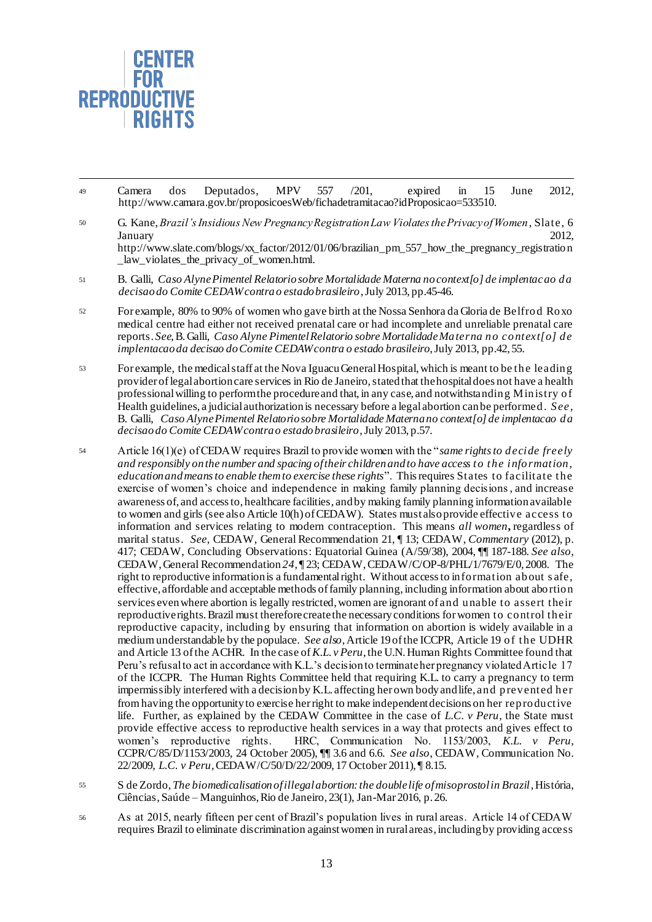

- $\overline{a}$ <sup>49</sup> Camera dos Deputados, MPV 557 /201, expired in 15 June 2012, http://www.camara.gov.br/proposicoesWeb/fichadetramitacao?idProposicao=533510.
- <sup>50</sup> G. Kane, *Brazil's Insidious New Pregnancy Registration Law Violates the Privacy of Women*, Slate, 6 January 2012, http://www.slate.com/blogs/xx\_factor/2012/01/06/brazilian\_pm\_557\_how\_the\_pregnancy\_registration law violates the privacy of women.html.
- <sup>51</sup> B. Galli, *Caso Alyne Pimentel Relatorio sobre Mortalidade Materna no context[o] de implentacao da decisao do Comite CEDAW contra o estado brasileiro*, July 2013, pp.45-46.
- <sup>52</sup> For example, 80% to 90% of women who gave birth at the Nossa Senhora da Gloria de Belfrod Roxo medical centre had either not received prenatal care or had incomplete and unreliable prenatal care reports. *See*,B. Galli, *Caso Alyne Pimentel Relatorio sobre Mortalidade Materna no context[o] de implentacao da decisao do Comite CEDAW contra o estado brasileiro*, July 2013, pp.42, 55.
- <sup>53</sup> For example, the medical staff at the Nova Iguacu General Hospital, which is meant to be the leading provider of legal abortion care services in Rio de Janeiro, stated that the hospital does not have a health professional willing to perform the procedure and that, in any case, and notwithstanding Ministry of Health guidelines, a judicial authorization is necessary before a legal abortion can be performed. *See*, B. Galli, *Caso Alyne Pimentel Relatorio sobre Mortalidade Materna no context[o] de implentacao da decisao do Comite CEDAW contra o estado brasileiro*, July 2013, p.57.
- <sup>54</sup> Article 16(1)(e) of CEDAW requires Brazil to provide women with the "*same rights to decide freely and responsibly on the number and spacing of their children and to have access to the information, education and means to enable them to exercise these rights*". This requires States to facilitate the exercise of women's choice and independence in making family planning decisions, and increase awareness of, and access to, healthcare facilities, and by making family planning information available to women and girls (see also Article 10(h) of CEDAW). States must also provide effective access to information and services relating to modern contraception. This means *all women***,** regardless of marital status. *See*, CEDAW, General Recommendation 21, ¶ 13; CEDAW, *Commentary* (2012), p. 417; CEDAW, Concluding Observations: Equatorial Guinea (A/59/38), 2004, ¶¶ 187-188. *See also*, CEDAW, General Recommendation *24*, ¶ 23; CEDAW, CEDAW/C/OP-8/PHL/1/7679/E/0, 2008. The right to reproductive information is a fundamental right. Without access to information about s afe, effective, affordable and acceptable methods of family planning, including information about abortion services even where abortion is legally restricted, women are ignorant of and unable to assert their reproductive rights. Brazil must therefore create the necessary conditions for women to control their reproductive capacity, including by ensuring that information on abortion is widely available in a medium understandable by the populace. *See also*,Article 19 of the ICCPR, Article 19 of the UDHR and Article 13 of the ACHR. In the case of *K.L. v Peru*, the U.N. Human Rights Committee found that Peru's refusal to act in accordance with K.L.'s decision to terminate her pregnancy violated Article 17 of the ICCPR. The Human Rights Committee held that requiring K.L. to carry a pregnancy to term impermissibly interfered with a decision by K.L. affecting her own body and life, and prevented her from having the opportunity to exercise her right to make independent decisions on her reproductive life. Further, as explained by the CEDAW Committee in the case of *L.C. v Peru*, the State must provide effective access to reproductive health services in a way that protects and gives effect to women's reproductive rights. HRC, Communication No. 1153/2003, *K.L. v Peru*, CCPR/C/85/D/1153/2003, 24 October 2005), ¶¶ 3.6 and 6.6. *See also*, CEDAW, Communication No. 22/2009, *L.C. v Peru*, CEDAW/C/50/D/22/2009, 17 October 2011), ¶ 8.15.
- <sup>55</sup> S de Zordo, *The biomedicalisation of illegal abortion: the double life of misoprostol in Brazil*, História, Ciências, Saúde – Manguinhos, Rio de Janeiro, 23(1), Jan-Mar 2016, p. 26.
- <sup>56</sup> As at 2015, nearly fifteen per cent of Brazil's population lives in rural areas. Article 14 of CEDAW requires Brazil to eliminate discrimination against women in rural areas, including by providing access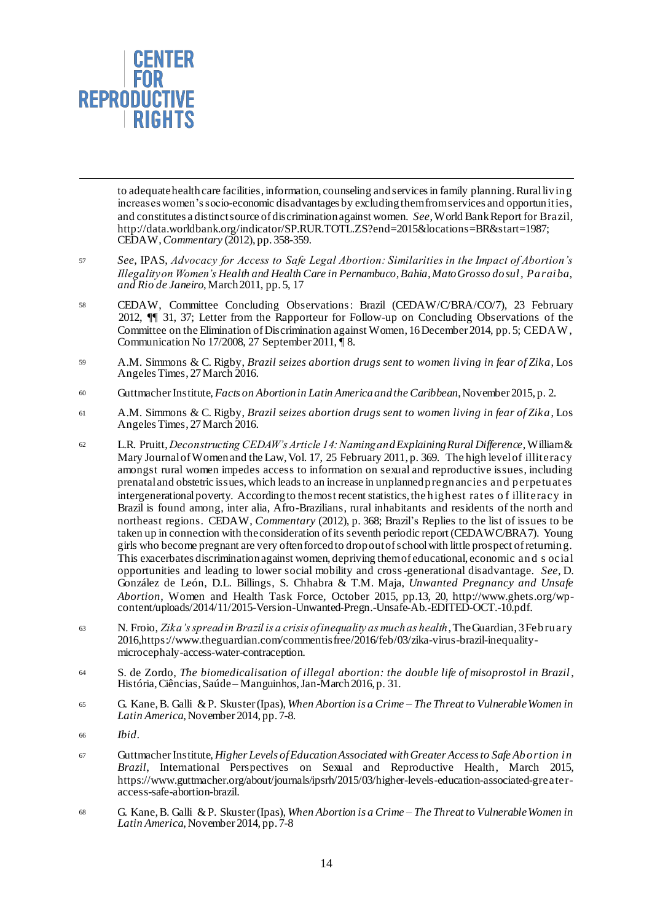

to adequate health care facilities, information, counseling and services in family planning. Rural living increases women's socio-economic disadvantages by excluding them from services and opportunities, and constitutes a distinct source of discrimination against women. *See*, World Bank Report for Brazil, http://data.worldbank.org/indicator/SP.RUR.TOTL.ZS?end=2015&locations=BR&start=1987; CEDAW, *Commentary* (2012), pp. 358-359.

- <sup>57</sup> *See*, IPAS, *Advocacy for Access to Safe Legal Abortion: Similarities in the Impact of Abortion's Illegality on Women's Health and Health Care in Pernambuco, Bahia, Mato Grosso do sul, Paraiba, and Rio de Janeiro*, March 2011, pp. 5, 17
- <sup>58</sup> CEDAW, Committee Concluding Observations: Brazil (CEDAW/C/BRA/CO/7), 23 February 2012, ¶¶ 31, 37; Letter from the Rapporteur for Follow-up on Concluding Observations of the Committee on the Elimination of Discrimination against Women, 16 December 2014, pp. 5; CEDAW , Communication No  $17/2008$ , 27 September 2011,  $\check{$  8.
- <sup>59</sup> A.M. Simmons & C. Rigby, *Brazil seizes abortion drugs sent to women living in fear of Zika*, Los Angeles Times, 27 March 2016.
- <sup>60</sup> Guttmacher Institute, *Facts on Abortion in Latin America and the Caribbean*, November 2015, p. 2.
- <sup>61</sup> A.M. Simmons & C. Rigby, *Brazil seizes abortion drugs sent to women living in fear of Zika*, Los Angeles Times, 27 March 2016.
- <sup>62</sup> L.R. Pruitt, *Deconstructing CEDAW's Article 14: Naming and Explaining Rural Difference*, William & Mary Journal of Women and the Law, Vol. 17, 25 February 2011, p. 369. The high level of illiteracy amongst rural women impedes access to information on sexual and reproductive issues, including prenatal and obstetric issues, which leads to an increase in unplanned pregnancies and perpetuates intergenerational poverty. According to the most recent statistics, the highest rates o f illiteracy in Brazil is found among, inter alia, Afro-Brazilians, rural inhabitants and residents of the north and northeast regions. CEDAW, *Commentary* (2012), p. 368; Brazil's Replies to the list of issues to be taken up in connection with the consideration of its seventh periodic report (CEDAWC/BRA7). Young girls who become pregnant are very often forced to drop out of school with little prospect of returning. This exacerbates discrimination against women, depriving them of educational, economic and s ocial opportunities and leading to lower social mobility and cross-generational disadvantage. *See*, D. González de León, D.L. Billings, S. Chhabra & T.M. Maja, *Unwanted Pregnancy and Unsafe Abortion*, Women and Health Task Force, October 2015, pp.13, 20, http://www.ghets.org/wpcontent/uploads/2014/11/2015-Version-Unwanted-Pregn.-Unsafe-Ab.-EDITED-OCT.-10.pdf.
- <sup>63</sup> N. Froio, *Zika's spread in Brazil is a crisis of inequality as much as health*,The Guardian, 3 February 2016,https://www.theguardian.com/commentisfree/2016/feb/03/zika-virus-brazil-inequalitymicrocephaly-access-water-contraception.
- <sup>64</sup> S. de Zordo, *The biomedicalisation of illegal abortion: the double life of misoprostol in Brazil*, História, Ciências, Saúde – Manguinhos, Jan-March 2016, p. 31.
- <sup>65</sup> G. Kane, B. Galli & P. Skuster (Ipas), *When Abortion is a Crime – The Threat to Vulnerable Women in Latin America*, November 2014, pp. 7-8.
- <sup>66</sup> *Ibid*.
- <sup>67</sup> Guttmacher Institute, *Higher Levels of Education Associated with Greater Access to Safe Abortion in Brazil*, International Perspectives on Sexual and Reproductive Health, March 2015, https://www.guttmacher.org/about/journals/ipsrh/2015/03/higher-levels-education-associated-greateraccess-safe-abortion-brazil.
- <sup>68</sup> G. Kane, B. Galli & P. Skuster (Ipas), *When Abortion is a Crime – The Threat to Vulnerable Women in Latin America*, November 2014, pp. 7-8